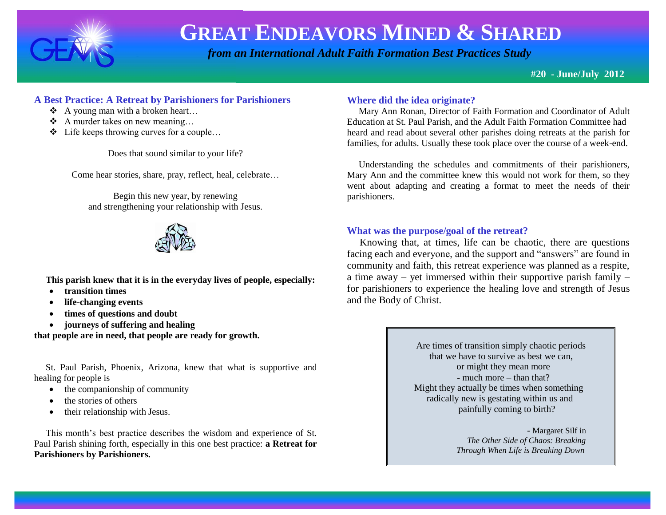

 *from an International Adult Faith Formation Best Practices Study*

**#20 - June/July 2012**

# **A Best Practice: A Retreat by Parishioners for Parishioners**

- $\triangle$  A young man with a broken heart...
- $\triangleleft$  A murder takes on new meaning...
- Life keeps throwing curves for a couple…

Does that sound similar to your life?

Come hear stories, share, pray, reflect, heal, celebrate…

Begin this new year, by renewing and strengthening your relationship with Jesus.



 **This parish knew that it is in the everyday lives of people, especially:**

- **transition times**
- **life-changing events**
- **times of questions and doubt**
- **journeys of suffering and healing**

**that people are in need, that people are ready for growth.**

 St. Paul Parish, Phoenix, Arizona, knew that what is supportive and healing for people is

- $\bullet$  the companionship of community
- the stories of others
- their relationship with Jesus.

 This month's best practice describes the wisdom and experience of St. Paul Parish shining forth, especially in this one best practice: **a Retreat for Parishioners by Parishioners.** 

# **Where did the idea originate?**

 Mary Ann Ronan, Director of Faith Formation and Coordinator of Adult Education at St. Paul Parish, and the Adult Faith Formation Committee had heard and read about several other parishes doing retreats at the parish for families, for adults. Usually these took place over the course of a week-end.

 Understanding the schedules and commitments of their parishioners, Mary Ann and the committee knew this would not work for them, so they went about adapting and creating a format to meet the needs of their parishioners.

# **What was the purpose/goal of the retreat?**

 Knowing that, at times, life can be chaotic, there are questions facing each and everyone, and the support and "answers" are found in community and faith, this retreat experience was planned as a respite, a time away – yet immersed within their supportive parish family – for parishioners to experience the healing love and strength of Jesus and the Body of Christ.

> Are times of transition simply chaotic periods that we have to survive as best we can, or might they mean more - much more – than that? Might they actually be times when something radically new is gestating within us and painfully coming to birth?

> > - Margaret Silf in  *The Other Side of Chaos: Breaking Through When Life is Breaking Down*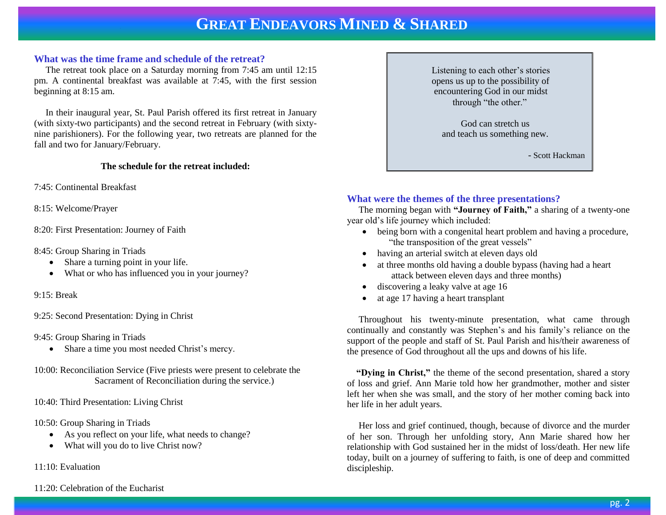#### **What was the time frame and schedule of the retreat?**

 The retreat took place on a Saturday morning from 7:45 am until 12:15 pm. A continental breakfast was available at 7:45, with the first session beginning at 8:15 am.

 In their inaugural year, St. Paul Parish offered its first retreat in January (with sixty-two participants) and the second retreat in February (with sixtynine parishioners). For the following year, two retreats are planned for the fall and two for January/February.

#### **The schedule for the retreat included:**

- 7:45: Continental Breakfast
- 8:15: Welcome/Prayer
- 8:20: First Presentation: Journey of Faith
- 8:45: Group Sharing in Triads
	- Share a turning point in your life.
	- What or who has influenced you in your journey?
- 9:15: Break
- 9:25: Second Presentation: Dying in Christ
- 9:45: Group Sharing in Triads
	- Share a time you most needed Christ's mercy.
- 10:00: Reconciliation Service (Five priests were present to celebrate the Sacrament of Reconciliation during the service.)
- 10:40: Third Presentation: Living Christ
- 10:50: Group Sharing in Triads
	- As you reflect on your life, what needs to change?
	- What will you do to live Christ now?

11:10: Evaluation

11:20: Celebration of the Eucharist

 Listening to each other's stories opens us up to the possibility of encountering God in our midst through "the other."

God can stretch us and teach us something new.

- Scott Hackman

### **What were the themes of the three presentations?**

 The morning began with **"Journey of Faith,"** a sharing of a twenty-one year old's life journey which included:

- being born with a congenital heart problem and having a procedure, "the transposition of the great vessels"
- having an arterial switch at eleven days old
- at three months old having a double bypass (having had a heart attack between eleven days and three months)
- discovering a leaky valve at age 16
- at age 17 having a heart transplant

 Throughout his twenty-minute presentation, what came through continually and constantly was Stephen's and his family's reliance on the support of the people and staff of St. Paul Parish and his/their awareness of the presence of God throughout all the ups and downs of his life.

 **"Dying in Christ,"** the theme of the second presentation, shared a story of loss and grief. Ann Marie told how her grandmother, mother and sister left her when she was small, and the story of her mother coming back into her life in her adult years.

 Her loss and grief continued, though, because of divorce and the murder of her son. Through her unfolding story, Ann Marie shared how her relationship with God sustained her in the midst of loss/death. Her new life today, built on a journey of suffering to faith, is one of deep and committed discipleship.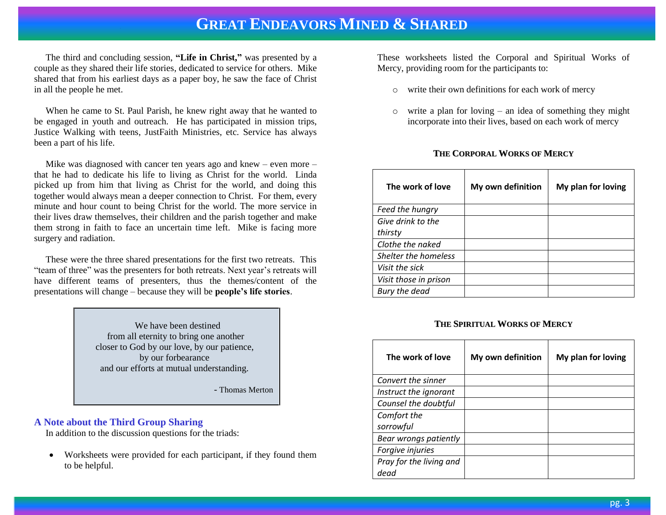The third and concluding session, **"Life in Christ,"** was presented by a couple as they shared their life stories, dedicated to service for others. Mike shared that from his earliest days as a paper boy, he saw the face of Christ in all the people he met.

 When he came to St. Paul Parish, he knew right away that he wanted to be engaged in youth and outreach. He has participated in mission trips, Justice Walking with teens, JustFaith Ministries, etc. Service has always been a part of his life.

 Mike was diagnosed with cancer ten years ago and knew – even more – that he had to dedicate his life to living as Christ for the world. Linda picked up from him that living as Christ for the world, and doing this together would always mean a deeper connection to Christ. For them, every minute and hour count to being Christ for the world. The more service in their lives draw themselves, their children and the parish together and make them strong in faith to face an uncertain time left. Mike is facing more surgery and radiation.

 These were the three shared presentations for the first two retreats. This "team of three" was the presenters for both retreats. Next year's retreats will have different teams of presenters, thus the themes/content of the presentations will change – because they will be **people's life stories**.

> We have been destined from all eternity to bring one another closer to God by our love, by our patience, by our forbearance and our efforts at mutual understanding.

> > - Thomas Merton

#### **A Note about the Third Group Sharing**

In addition to the discussion questions for the triads:

• Worksheets were provided for each participant, if they found them to be helpful.

These worksheets listed the Corporal and Spiritual Works of Mercy, providing room for the participants to:

- o write their own definitions for each work of mercy
- o write a plan for loving an idea of something they might incorporate into their lives, based on each work of mercy

#### **THE CORPORAL WORKS OF MERCY**

| The work of love      | My own definition | My plan for loving |
|-----------------------|-------------------|--------------------|
| Feed the hungry       |                   |                    |
| Give drink to the     |                   |                    |
| thirsty               |                   |                    |
| Clothe the naked      |                   |                    |
| Shelter the homeless  |                   |                    |
| Visit the sick        |                   |                    |
| Visit those in prison |                   |                    |
| Bury the dead         |                   |                    |

#### **THE SPIRITUAL WORKS OF MERCY**

| The work of love                | My own definition | My plan for loving |
|---------------------------------|-------------------|--------------------|
| Convert the sinner              |                   |                    |
| Instruct the ignorant           |                   |                    |
| Counsel the doubtful            |                   |                    |
| Comfort the<br>sorrowful        |                   |                    |
| Bear wrongs patiently           |                   |                    |
| Forgive injuries                |                   |                    |
| Pray for the living and<br>dead |                   |                    |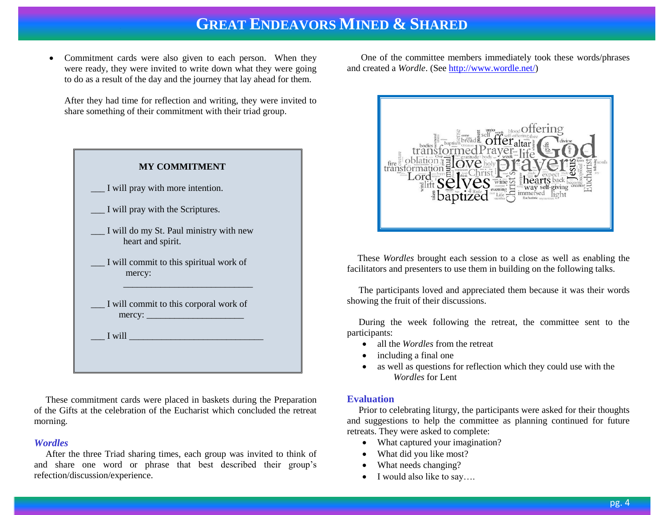• Commitment cards were also given to each person. When they were ready, they were invited to write down what they were going to do as a result of the day and the journey that lay ahead for them.

After they had time for reflection and writing, they were invited to share something of their commitment with their triad group.

| <b>MY COMMITMENT</b>                                         |
|--------------------------------------------------------------|
| I will pray with more intention.                             |
| I will pray with the Scriptures.                             |
| I will do my St. Paul ministry with new<br>heart and spirit. |
| I will commit to this spiritual work of<br>mercy:            |
| I will commit to this corporal work of<br>mercy:             |
| I will                                                       |

 These commitment cards were placed in baskets during the Preparation of the Gifts at the celebration of the Eucharist which concluded the retreat morning.

#### *Wordles*

 After the three Triad sharing times, each group was invited to think of and share one word or phrase that best described their group's refection/discussion/experience.

 One of the committee members immediately took these words/phrases and created a *Wordle*. (Se[e http://www.wordle.net/\)](http://www.wordle.net/)



 These *Wordles* brought each session to a close as well as enabling the facilitators and presenters to use them in building on the following talks.

 The participants loved and appreciated them because it was their words showing the fruit of their discussions.

 During the week following the retreat, the committee sent to the participants:

- all the *Wordles* from the retreat
- including a final one
- as well as questions for reflection which they could use with the *Wordles* for Lent

#### **Evaluation**

 Prior to celebrating liturgy, the participants were asked for their thoughts and suggestions to help the committee as planning continued for future retreats. They were asked to complete:

- What captured your imagination?
- What did you like most?
- What needs changing?
- $\bullet$  I would also like to say...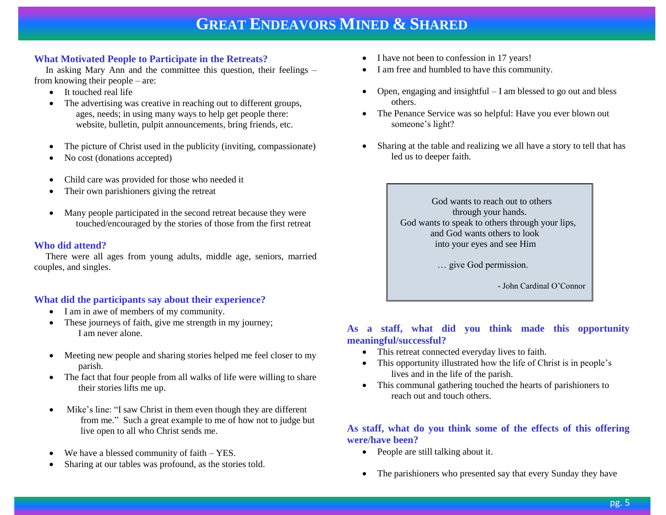# **What Motivated People to Participate in the Retreats?**

 In asking Mary Ann and the committee this question, their feelings – from knowing their people – are:

- It touched real life
- The advertising was creative in reaching out to different groups, ages, needs; in using many ways to help get people there: website, bulletin, pulpit announcements, bring friends, etc.
- The picture of Christ used in the publicity (inviting, compassionate)
- No cost (donations accepted)
- Child care was provided for those who needed it
- Their own parishioners giving the retreat
- Many people participated in the second retreat because they were touched/encouraged by the stories of those from the first retreat

### **Who did attend?**

 There were all ages from young adults, middle age, seniors, married couples, and singles.

# **What did the participants say about their experience?**

- I am in awe of members of my community.
- These journeys of faith, give me strength in my journey; I am never alone.
- Meeting new people and sharing stories helped me feel closer to my parish.
- The fact that four people from all walks of life were willing to share their stories lifts me up.
- Mike's line: "I saw Christ in them even though they are different from me." Such a great example to me of how not to judge but live open to all who Christ sends me.
- We have a blessed community of faith YES.
- Sharing at our tables was profound, as the stories told.
- I have not been to confession in 17 years!
- I am free and humbled to have this community.
- Open, engaging and insightful  $-I$  am blessed to go out and bless others.
- The Penance Service was so helpful: Have you ever blown out someone's light?
- Sharing at the table and realizing we all have a story to tell that has led us to deeper faith.

 God wants to reach out to others through your hands. God wants to speak to others through your lips, and God wants others to look into your eyes and see Him

… give God permission.

- John Cardinal O'Connor

# **As a staff, what did you think made this opportunity meaningful/successful?**

- This retreat connected everyday lives to faith.
- This opportunity illustrated how the life of Christ is in people's lives and in the life of the parish.
- This communal gathering touched the hearts of parishioners to reach out and touch others.

# **As staff, what do you think some of the effects of this offering were/have been?**

- People are still talking about it.
- The parishioners who presented say that every Sunday they have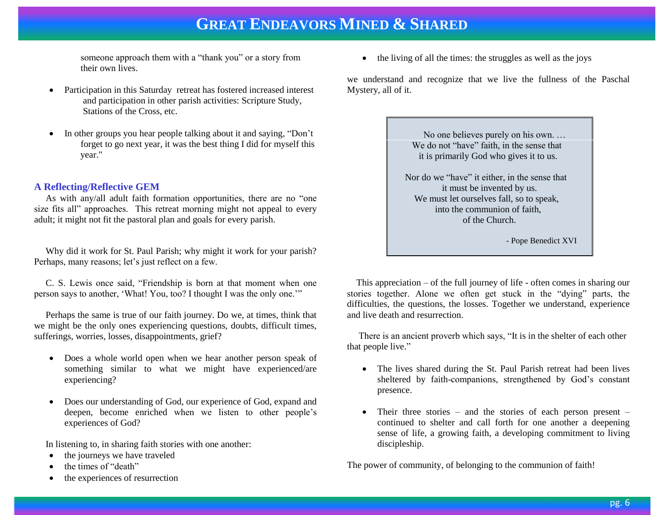someone approach them with a "thank you" or a story from their own lives.

- Participation in this Saturday retreat has fostered increased interest and participation in other parish activities: Scripture Study, Stations of the Cross, etc.
- In other groups you hear people talking about it and saying, "Don't forget to go next year, it was the best thing I did for myself this year."

### **A Reflecting/Reflective GEM**

 As with any/all adult faith formation opportunities, there are no "one size fits all" approaches. This retreat morning might not appeal to every adult; it might not fit the pastoral plan and goals for every parish.

 Why did it work for St. Paul Parish; why might it work for your parish? Perhaps, many reasons; let's just reflect on a few.

 C. S. Lewis once said, "Friendship is born at that moment when one person says to another, 'What! You, too? I thought I was the only one.'"

 Perhaps the same is true of our faith journey. Do we, at times, think that we might be the only ones experiencing questions, doubts, difficult times, sufferings, worries, losses, disappointments, grief?

- Does a whole world open when we hear another person speak of something similar to what we might have experienced/are experiencing?
- Does our understanding of God, our experience of God, expand and deepen, become enriched when we listen to other people's experiences of God?

In listening to, in sharing faith stories with one another:

- the journeys we have traveled
- the times of "death"
- the experiences of resurrection

 $\bullet$  the living of all the times: the struggles as well as the joys

we understand and recognize that we live the fullness of the Paschal Mystery, all of it.

> No one believes purely on his own. … We do not "have" faith, in the sense that it is primarily God who gives it to us.

 Nor do we "have" it either, in the sense that it must be invented by us. We must let ourselves fall, so to speak, into the communion of faith, of the Church.

- Pope Benedict XVI

 This appreciation – of the full journey of life - often comes in sharing our stories together. Alone we often get stuck in the "dying" parts, the difficulties, the questions, the losses. Together we understand, experience and live death and resurrection.

 There is an ancient proverb which says, "It is in the shelter of each other that people live."

- The lives shared during the St. Paul Parish retreat had been lives sheltered by faith-companions, strengthened by God's constant presence.
- Their three stories and the stories of each person present continued to shelter and call forth for one another a deepening sense of life, a growing faith, a developing commitment to living discipleship.

The power of community, of belonging to the communion of faith!